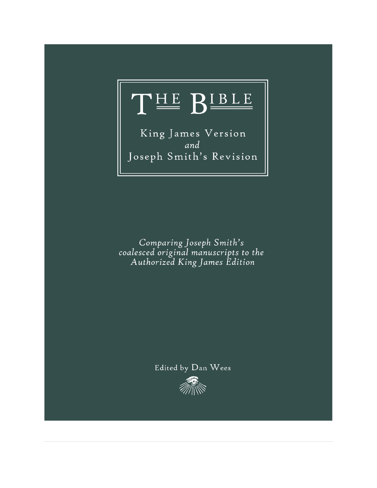

King James Version and Joseph Smith's Revision

Comparing Joseph Smith's coalesced original manuscripts to the<br>Authorized King James Edition

# Edited by Dan Wees

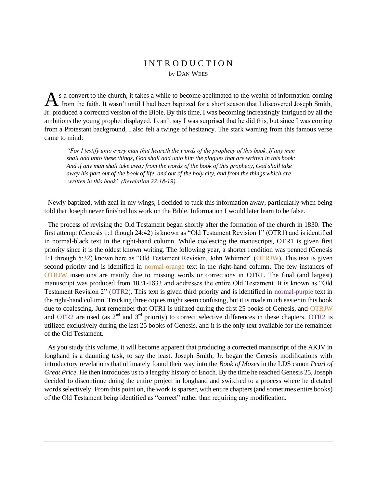# I N T R O D U C T I O N by DAN WEES

s a convert to the church, it takes a while to become acclimated to the wealth of information coming A s a convert to the church, it takes a while to become acclimated to the wealth of information coming from the faith. It wasn't until I had been baptized for a short season that I discovered Joseph Smith, Jr. produced a corrected version of the Bible. By this time, I was becoming increasingly intrigued by all the ambitions the young prophet displayed. I can't say I was surprised that he did this, but since I was coming from a Protestant background, I also felt a twinge of hesitancy. The stark warning from this famous verse came to mind:

*"For I testify unto every man that heareth the words of the prophecy of this book, If any man shall add unto these things, God shall add unto him the plagues that are written in this book: And if any man shall take away from the words of the book of this prophecy, God shall take away his part out of the book of life, and out of the holy city, and from the things which are written in this book" (Revelation 22:18-19).* 

 Newly baptized, with zeal in my wings, I decided to tuck this information away, particularly when being told that Joseph never finished his work on the Bible. Information I would later learn to be false.

 The process of revising the Old Testament began shortly after the formation of the church in 1830. The first attempt (Genesis 1:1 though 24:42) is known as "Old Testament Revision 1" (OTR1) and is identified in normal-black text in the right-hand column. While coalescing the manuscripts, OTR1 is given first priority since it is the oldest known writing. The following year, a shorter rendition was penned (Genesis 1:1 through 5:32) known here as "Old Testament Revision, John Whitmer" (OTRJW). This text is given second priority and is identified in normal-orange text in the right-hand column. The few instances of OTRJW insertions are mainly due to missing words or corrections in OTR1. The final (and largest) manuscript was produced from 1831-1833 and addresses the entire Old Testament. It is known as "Old Testament Revision 2" (OTR2). This text is given third priority and is identified in normal-purple text in the right-hand column. Tracking three copies might seem confusing, but it is made much easier in this book due to coalescing. Just remember that OTR1 is utilized during the first 25 books of Genesis, and OTRJW and OTR2 are used (as  $2<sup>nd</sup>$  and  $3<sup>rd</sup>$  priority) to correct selective differences in these chapters. OTR2 is utilized exclusively during the last 25 books of Genesis, and it is the only text available for the remainder of the Old Testament.

 As you study this volume, it will become apparent that producing a corrected manuscript of the AKJV in longhand is a daunting task, to say the least. Joseph Smith, Jr. began the Genesis modifications with introductory revelations that ultimately found their way into the *Book of Moses* in the LDS canon *Pearl of Great Price*. He then introduces us to a lengthy history of Enoch. By the time he reached Genesis 25, Joseph decided to discontinue doing the entire project in longhand and switched to a process where he dictated words selectively. From this point on, the work is sparser, with entire chapters (and sometimes entire books) of the Old Testament being identified as "correct" rather than requiring any modification.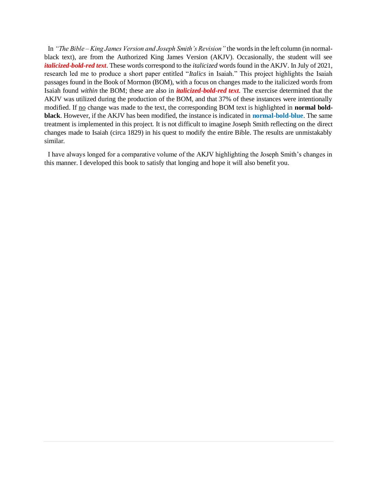In *"The Bible – King James Version and Joseph Smith's Revision"* the words in the left column (in normalblack text), are from the Authorized King James Version (AKJV). Occasionally, the student will see *italicized-bold-red text*. These words correspond to the *italicized* words found in the AKJV. In July of 2021, research led me to produce a short paper entitled "*Italics* in Isaiah." This project highlights the Isaiah passages found in the Book of Mormon (BOM), with a focus on changes made to the italicized words from Isaiah found *within* the BOM; these are also in *italicized-bold-red text*. The exercise determined that the AKJV was utilized during the production of the BOM, and that 37% of these instances were intentionally modified. If <u>no</u> change was made to the text, the corresponding BOM text is highlighted in **normal boldblack**. However, if the AKJV has been modified, the instance is indicated in **normal-bold-blue**. The same treatment is implemented in this project. It is not difficult to imagine Joseph Smith reflecting on the direct changes made to Isaiah (circa 1829) in his quest to modify the entire Bible. The results are unmistakably similar.

 I have always longed for a comparative volume of the AKJV highlighting the Joseph Smith's changes in this manner. I developed this book to satisfy that longing and hope it will also benefit you.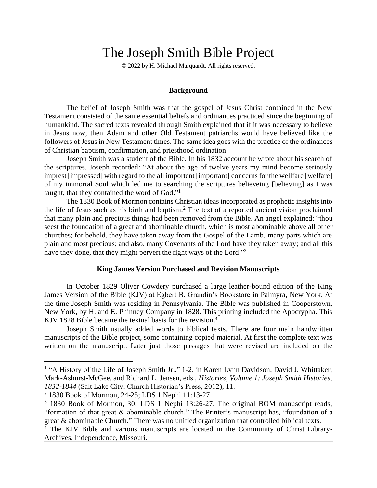# The Joseph Smith Bible Project

© 2022 by H. Michael Marquardt. All rights reserved.

### **Background**

The belief of Joseph Smith was that the gospel of Jesus Christ contained in the New Testament consisted of the same essential beliefs and ordinances practiced since the beginning of humankind. The sacred texts revealed through Smith explained that if it was necessary to believe in Jesus now, then Adam and other Old Testament patriarchs would have believed like the followers of Jesus in New Testament times. The same idea goes with the practice of the ordinances of Christian baptism, confirmation, and priesthood ordination.

Joseph Smith was a student of the Bible. In his 1832 account he wrote about his search of the scriptures. Joseph recorded: "At about the age of twelve years my mind become seriously imprest [impressed] with regard to the all importent [important] concerns for the wellfare [welfare] of my immortal Soul which led me to searching the scriptures believeing [believing] as I was taught, that they contained the word of God."<sup>1</sup>

The 1830 Book of Mormon contains Christian ideas incorporated as prophetic insights into the life of Jesus such as his birth and baptism.<sup>2</sup> The text of a reported ancient vision proclaimed that many plain and precious things had been removed from the Bible. An angel explained: "thou seest the foundation of a great and abominable church, which is most abominable above all other churches; for behold, they have taken away from the Gospel of the Lamb, many parts which are plain and most precious; and also, many Covenants of the Lord have they taken away; and all this have they done, that they might pervert the right ways of the Lord."<sup>3</sup>

### **King James Version Purchased and Revision Manuscripts**

In October 1829 Oliver Cowdery purchased a large leather-bound edition of the King James Version of the Bible (KJV) at Egbert B. Grandin's Bookstore in Palmyra, New York. At the time Joseph Smith was residing in Pennsylvania. The Bible was published in Cooperstown, New York, by H. and E. Phinney Company in 1828. This printing included the Apocrypha. This KJV 1828 Bible became the textual basis for the revision.<sup>4</sup>

Joseph Smith usually added words to biblical texts. There are four main handwritten manuscripts of the Bible project, some containing copied material. At first the complete text was written on the manuscript. Later just those passages that were revised are included on the

<sup>&</sup>lt;sup>1</sup> "A History of the Life of Joseph Smith Jr.," 1-2, in Karen Lynn Davidson, David J. Whittaker, Mark-Ashurst-McGee, and Richard L. Jensen, eds., *Histories, Volume 1: Joseph Smith Histories, 1832-1844* (Salt Lake City: Church Historian's Press, 2012), 11.

<sup>2</sup> 1830 Book of Mormon, 24-25; LDS 1 Nephi 11:13-27.

<sup>3</sup> 1830 Book of Mormon, 30; LDS 1 Nephi 13:26-27. The original BOM manuscript reads, "formation of that great & abominable church." The Printer's manuscript has, "foundation of a great & abominable Church." There was no unified organization that controlled biblical texts.

<sup>4</sup> The KJV Bible and various manuscripts are located in the Community of Christ Library-Archives, Independence, Missouri.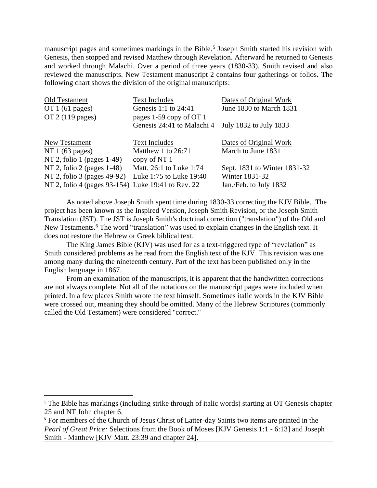manuscript pages and sometimes markings in the Bible.<sup>5</sup> Joseph Smith started his revision with Genesis, then stopped and revised Matthew through Revelation. Afterward he returned to Genesis and worked through Malachi. Over a period of three years (1830-33), Smith revised and also reviewed the manuscripts. New Testament manuscript 2 contains four gatherings or folios. The following chart shows the division of the original manuscripts:

| Old Testament                                      | <b>Text Includes</b>       | Dates of Original Work       |
|----------------------------------------------------|----------------------------|------------------------------|
| OT $1(61$ pages)                                   | Genesis 1:1 to 24:41       | June 1830 to March 1831      |
| $OT$ 2 (119 pages)                                 | pages 1-59 copy of OT 1    |                              |
|                                                    | Genesis 24:41 to Malachi 4 | July 1832 to July 1833       |
| New Testament                                      | <b>Text Includes</b>       | Dates of Original Work       |
| NT $1(63 \text{ pages})$                           | Matthew 1 to 26:71         | March to June 1831           |
| NT 2, folio 1 (pages 1-49)                         | copy of NT 1               |                              |
| NT 2, folio 2 (pages 1-48)                         | Matt. 26:1 to Luke 1:74    | Sept. 1831 to Winter 1831-32 |
| NT 2, folio 3 (pages 49-92)                        | Luke 1:75 to Luke 19:40    | Winter 1831-32               |
| NT 2, folio 4 (pages 93-154) Luke 19:41 to Rev. 22 |                            | Jan./Feb. to July 1832       |

As noted above Joseph Smith spent time during 1830-33 correcting the KJV Bible. The project has been known as the Inspired Version, Joseph Smith Revision, or the Joseph Smith Translation (JST). The JST is Joseph Smith's doctrinal correction ("translation") of the Old and New Testaments.<sup>6</sup> The word "translation" was used to explain changes in the English text. It does not restore the Hebrew or Greek biblical text.

The King James Bible (KJV) was used for as a text-triggered type of "revelation" as Smith considered problems as he read from the English text of the KJV. This revision was one among many during the nineteenth century. Part of the text has been published only in the English language in 1867.

From an examination of the manuscripts, it is apparent that the handwritten corrections are not always complete. Not all of the notations on the manuscript pages were included when printed. In a few places Smith wrote the text himself. Sometimes italic words in the KJV Bible were crossed out, meaning they should be omitted. Many of the Hebrew Scriptures (commonly called the Old Testament) were considered "correct."

<sup>&</sup>lt;sup>5</sup> The Bible has markings (including strike through of italic words) starting at OT Genesis chapter 25 and NT John chapter 6.

<sup>&</sup>lt;sup>6</sup> For members of the Church of Jesus Christ of Latter-day Saints two items are printed in the *Pearl of Great Price:* Selections from the Book of Moses [KJV Genesis 1:1 - 6:13] and Joseph Smith - Matthew [KJV Matt. 23:39 and chapter 24].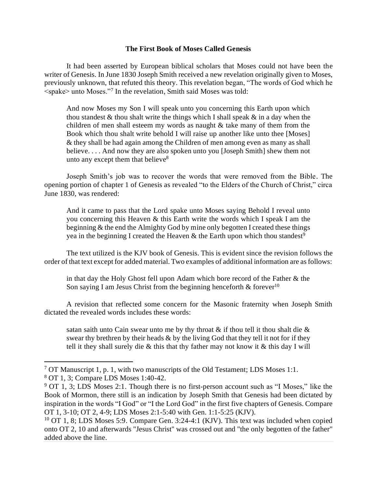## **The First Book of Moses Called Genesis**

It had been asserted by European biblical scholars that Moses could not have been the writer of Genesis. In June 1830 Joseph Smith received a new revelation originally given to Moses, previously unknown, that refuted this theory. This revelation began, "The words of God which he <spake> unto Moses."<sup>7</sup> In the revelation, Smith said Moses was told:

And now Moses my Son I will speak unto you concerning this Earth upon which thou standest  $\&$  thou shalt write the things which I shall speak  $\&$  in a day when the children of men shall esteem my words as naught  $\&$  take many of them from the Book which thou shalt write behold I will raise up another like unto thee [Moses] & they shall be had again among the Children of men among even as many as shall believe. . . . And now they are also spoken unto you [Joseph Smith] shew them not unto any except them that believe<sup>8</sup>

Joseph Smith's job was to recover the words that were removed from the Bible. The opening portion of chapter 1 of Genesis as revealed "to the Elders of the Church of Christ," circa June 1830, was rendered:

And it came to pass that the Lord spake unto Moses saying Behold I reveal unto you concerning this Heaven & this Earth write the words which I speak I am the beginning & the end the Almighty God by mine only begotten I created these things yea in the beginning I created the Heaven  $\&$  the Earth upon which thou standest<sup>9</sup>

The text utilized is the KJV book of Genesis. This is evident since the revision follows the order of that text except for added material. Two examples of additional information are as follows:

in that day the Holy Ghost fell upon Adam which bore record of the Father & the Son saying I am Jesus Christ from the beginning henceforth  $\&$  forever<sup>10</sup>

A revision that reflected some concern for the Masonic fraternity when Joseph Smith dictated the revealed words includes these words:

satan saith unto Cain swear unto me by thy throat  $\&$  if thou tell it thou shalt die  $\&$ swear thy brethren by their heads  $\&$  by the living God that they tell it not for if they tell it they shall surely die  $\&$  this that thy father may not know it  $\&$  this day I will

<sup>&</sup>lt;sup>7</sup> OT Manuscript 1, p. 1, with two manuscripts of the Old Testament; LDS Moses 1:1.

<sup>8</sup> OT 1, 3; Compare LDS Moses 1:40-42.

<sup>&</sup>lt;sup>9</sup> OT 1, 3; LDS Moses 2:1. Though there is no first-person account such as "I Moses," like the Book of Mormon, there still is an indication by Joseph Smith that Genesis had been dictated by inspiration in the words "I God" or "I the Lord God" in the first five chapters of Genesis. Compare OT 1, 3-10; OT 2, 4-9; LDS Moses 2:1-5:40 with Gen. 1:1-5:25 (KJV).

 $10$  OT 1, 8; LDS Moses 5:9. Compare Gen. 3:24-4:1 (KJV). This text was included when copied onto OT 2, 10 and afterwards "Jesus Christ" was crossed out and "the only begotten of the father" added above the line.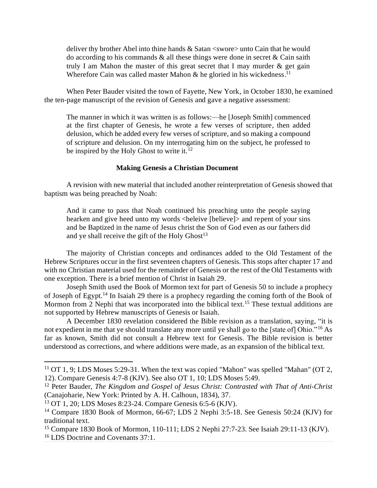deliver thy brother Abel into thine hands  $\&$  Satan  $\lt$ swore $\gt$  unto Cain that he would do according to his commands  $\&$  all these things were done in secret  $\&$  Cain saith truly I am Mahon the master of this great secret that I may murder  $\&$  get gain Wherefore Cain was called master Mahon  $\&$  he gloried in his wickedness.<sup>11</sup>

When Peter Bauder visited the town of Fayette, New York, in October 1830, he examined the ten-page manuscript of the revision of Genesis and gave a negative assessment:

The manner in which it was written is as follows:—he [Joseph Smith] commenced at the first chapter of Genesis, he wrote a few verses of scripture, then added delusion, which he added every few verses of scripture, and so making a compound of scripture and delusion. On my interrogating him on the subject, he professed to be inspired by the Holy Ghost to write it.<sup>12</sup>

### **Making Genesis a Christian Document**

A revision with new material that included another reinterpretation of Genesis showed that baptism was being preached by Noah:

And it came to pass that Noah continued his preaching unto the people saying hearken and give heed unto my words <br/>beleive [believe]> and repent of your sins and be Baptized in the name of Jesus christ the Son of God even as our fathers did and ye shall receive the gift of the Holy  $G$ host<sup>13</sup>

The majority of Christian concepts and ordinances added to the Old Testament of the Hebrew Scriptures occur in the first seventeen chapters of Genesis. This stops after chapter 17 and with no Christian material used for the remainder of Genesis or the rest of the Old Testaments with one exception. There is a brief mention of Christ in Isaiah 29.

Joseph Smith used the Book of Mormon text for part of Genesis 50 to include a prophecy of Joseph of Egypt.<sup>14</sup> In Isaiah 29 there is a prophecy regarding the coming forth of the Book of Mormon from 2 Nephi that was incorporated into the biblical text.<sup>15</sup> These textual additions are not supported by Hebrew manuscripts of Genesis or Isaiah.

A December 1830 revelation considered the Bible revision as a translation, saying, "it is not expedient in me that ye should translate any more until ye shall go to the [state of] Ohio."<sup>16</sup> As far as known, Smith did not consult a Hebrew text for Genesis. The Bible revision is better understood as corrections, and where additions were made, as an expansion of the biblical text.

 $11$  OT 1, 9; LDS Moses 5:29-31. When the text was copied "Mahon" was spelled "Mahan" (OT 2, 12). Compare Genesis 4:7-8 (KJV). See also OT 1, 10; LDS Moses 5:49.

<sup>12</sup> Peter Bauder, *The Kingdom and Gospel of Jesus Christ: Contrasted with That of Anti-Christ* (Canajoharie, New York: Printed by A. H. Calhoun, 1834), 37.

<sup>13</sup> OT 1, 20; LDS Moses 8:23-24. Compare Genesis 6:5-6 (KJV).

<sup>&</sup>lt;sup>14</sup> Compare 1830 Book of Mormon, 66-67; LDS 2 Nephi 3:5-18. See Genesis 50:24 (KJV) for traditional text.

<sup>15</sup> Compare 1830 Book of Mormon, 110-111; LDS 2 Nephi 27:7-23. See Isaiah 29:11-13 (KJV). <sup>16</sup> LDS Doctrine and Covenants 37:1.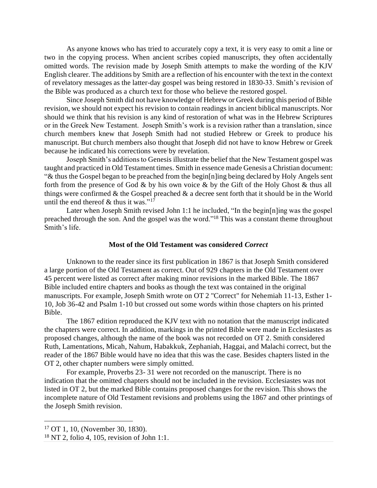As anyone knows who has tried to accurately copy a text, it is very easy to omit a line or two in the copying process. When ancient scribes copied manuscripts, they often accidentally omitted words. The revision made by Joseph Smith attempts to make the wording of the KJV English clearer. The additions by Smith are a reflection of his encounter with the text in the context of revelatory messages as the latter-day gospel was being restored in 1830-33. Smith's revision of the Bible was produced as a church text for those who believe the restored gospel.

Since Joseph Smith did not have knowledge of Hebrew or Greek during this period of Bible revision, we should not expect his revision to contain readings in ancient biblical manuscripts. Nor should we think that his revision is any kind of restoration of what was in the Hebrew Scriptures or in the Greek New Testament. Joseph Smith's work is a revision rather than a translation, since church members knew that Joseph Smith had not studied Hebrew or Greek to produce his manuscript. But church members also thought that Joseph did not have to know Hebrew or Greek because he indicated his corrections were by revelation.

Joseph Smith's additions to Genesis illustrate the belief that the New Testament gospel was taught and practiced in Old Testament times. Smith in essence made Genesis a Christian document: "& thus the Gospel began to be preached from the begin[n]ing being declared by Holy Angels sent forth from the presence of God & by his own voice & by the Gift of the Holy Ghost & thus all things were confirmed  $\&$  the Gospel preached  $\&$  a decree sent forth that it should be in the World until the end thereof  $&$  thus it was."<sup>17</sup>

Later when Joseph Smith revised John 1:1 he included, "In the begin[n]ing was the gospel preached through the son. And the gospel was the word."<sup>18</sup> This was a constant theme throughout Smith's life.

### **Most of the Old Testament was considered** *Correct*

Unknown to the reader since its first publication in 1867 is that Joseph Smith considered a large portion of the Old Testament as correct. Out of 929 chapters in the Old Testament over 45 percent were listed as correct after making minor revisions in the marked Bible. The 1867 Bible included entire chapters and books as though the text was contained in the original manuscripts. For example, Joseph Smith wrote on OT 2 "Correct" for Nehemiah 11-13, Esther 1- 10, Job 36-42 and Psalm 1-10 but crossed out some words within those chapters on his printed Bible.

The 1867 edition reproduced the KJV text with no notation that the manuscript indicated the chapters were correct. In addition, markings in the printed Bible were made in Ecclesiastes as proposed changes, although the name of the book was not recorded on OT 2. Smith considered Ruth, Lamentations, Micah, Nahum, Habakkuk, Zephaniah, Haggai, and Malachi correct, but the reader of the 1867 Bible would have no idea that this was the case. Besides chapters listed in the OT 2, other chapter numbers were simply omitted.

For example, Proverbs 23- 31 were not recorded on the manuscript. There is no indication that the omitted chapters should not be included in the revision. Ecclesiastes was not listed in OT 2, but the marked Bible contains proposed changes for the revision. This shows the incomplete nature of Old Testament revisions and problems using the 1867 and other printings of the Joseph Smith revision.

<sup>17</sup> OT 1, 10, (November 30, 1830).

 $18$  NT 2, folio 4, 105, revision of John 1:1.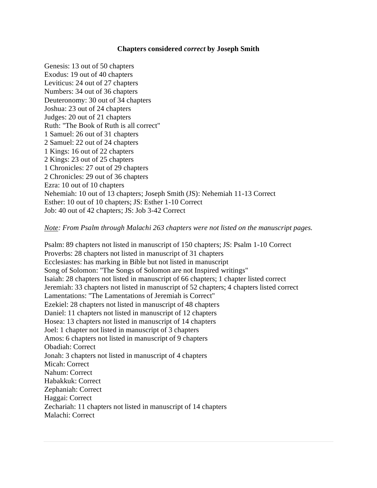# **Chapters considered** *correct* **by Joseph Smith**

Genesis: 13 out of 50 chapters Exodus: 19 out of 40 chapters Leviticus: 24 out of 27 chapters Numbers: 34 out of 36 chapters Deuteronomy: 30 out of 34 chapters Joshua: 23 out of 24 chapters Judges: 20 out of 21 chapters Ruth: "The Book of Ruth is all correct" 1 Samuel: 26 out of 31 chapters 2 Samuel: 22 out of 24 chapters 1 Kings: 16 out of 22 chapters 2 Kings: 23 out of 25 chapters 1 Chronicles: 27 out of 29 chapters 2 Chronicles: 29 out of 36 chapters Ezra: 10 out of 10 chapters Nehemiah: 10 out of 13 chapters; Joseph Smith (JS): Nehemiah 11-13 Correct Esther: 10 out of 10 chapters; JS: Esther 1-10 Correct Job: 40 out of 42 chapters; JS: Job 3-42 Correct

# *Note: From Psalm through Malachi 263 chapters were not listed on the manuscript pages.*

Psalm: 89 chapters not listed in manuscript of 150 chapters; JS: Psalm 1-10 Correct Proverbs: 28 chapters not listed in manuscript of 31 chapters Ecclesiastes: has marking in Bible but not listed in manuscript Song of Solomon: "The Songs of Solomon are not Inspired writings" Isaiah: 28 chapters not listed in manuscript of 66 chapters; 1 chapter listed correct Jeremiah: 33 chapters not listed in manuscript of 52 chapters; 4 chapters listed correct Lamentations: "The Lamentations of Jeremiah is Correct" Ezekiel: 28 chapters not listed in manuscript of 48 chapters Daniel: 11 chapters not listed in manuscript of 12 chapters Hosea: 13 chapters not listed in manuscript of 14 chapters Joel: 1 chapter not listed in manuscript of 3 chapters Amos: 6 chapters not listed in manuscript of 9 chapters Obadiah: Correct Jonah: 3 chapters not listed in manuscript of 4 chapters Micah: Correct Nahum: Correct Habakkuk: Correct Zephaniah: Correct Haggai: Correct Zechariah: 11 chapters not listed in manuscript of 14 chapters Malachi: Correct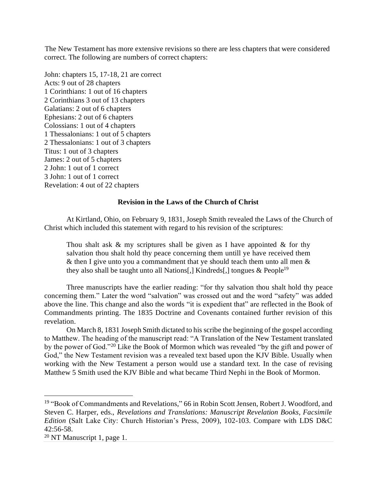The New Testament has more extensive revisions so there are less chapters that were considered correct. The following are numbers of correct chapters:

John: chapters 15, 17-18, 21 are correct Acts: 9 out of 28 chapters 1 Corinthians: 1 out of 16 chapters 2 Corinthians 3 out of 13 chapters Galatians: 2 out of 6 chapters Ephesians: 2 out of 6 chapters Colossians: 1 out of 4 chapters 1 Thessalonians: 1 out of 5 chapters 2 Thessalonians: 1 out of 3 chapters Titus: 1 out of 3 chapters James: 2 out of 5 chapters 2 John: 1 out of 1 correct 3 John: 1 out of 1 correct Revelation: 4 out of 22 chapters

### **Revision in the Laws of the Church of Christ**

At Kirtland, Ohio, on February 9, 1831, Joseph Smith revealed the Laws of the Church of Christ which included this statement with regard to his revision of the scriptures:

Thou shalt ask  $\&$  my scriptures shall be given as I have appointed  $\&$  for thy salvation thou shalt hold thy peace concerning them untill ye have received them & then I give unto you a commandment that ye should teach them unto all men  $\&$ they also shall be taught unto all Nations[,] Kindreds[,] tongues  $\&$  People<sup>19</sup>

Three manuscripts have the earlier reading: "for thy salvation thou shalt hold thy peace concerning them." Later the word "salvation" was crossed out and the word "safety" was added above the line. This change and also the words "it is expedient that" are reflected in the Book of Commandments printing. The 1835 Doctrine and Covenants contained further revision of this revelation.

On March 8, 1831 Joseph Smith dictated to his scribe the beginning of the gospel according to Matthew. The heading of the manuscript read: "A Translation of the New Testament translated by the power of God."<sup>20</sup> Like the Book of Mormon which was revealed "by the gift and power of God," the New Testament revision was a revealed text based upon the KJV Bible. Usually when working with the New Testament a person would use a standard text. In the case of revising Matthew 5 Smith used the KJV Bible and what became Third Nephi in the Book of Mormon.

<sup>&</sup>lt;sup>19</sup> "Book of Commandments and Revelations," 66 in Robin Scott Jensen, Robert J. Woodford, and Steven C. Harper, eds., *Revelations and Translations: Manuscript Revelation Books, Facsimile Edition* (Salt Lake City: Church Historian's Press, 2009), 102-103. Compare with LDS D&C 42:56-58.

 $20$  NT Manuscript 1, page 1.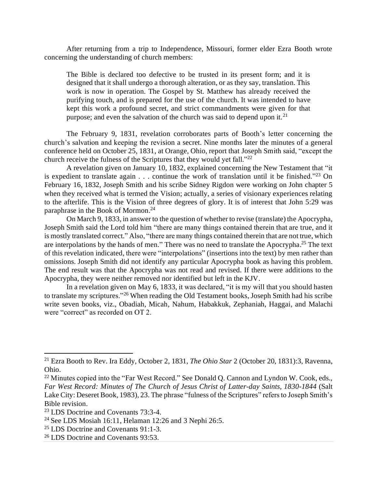After returning from a trip to Independence, Missouri, former elder Ezra Booth wrote concerning the understanding of church members:

The Bible is declared too defective to be trusted in its present form; and it is designed that it shall undergo a thorough alteration, or as they say, translation. This work is now in operation. The Gospel by St. Matthew has already received the purifying touch, and is prepared for the use of the church. It was intended to have kept this work a profound secret, and strict commandments were given for that purpose; and even the salvation of the church was said to depend upon it.<sup>21</sup>

The February 9, 1831, revelation corroborates parts of Booth's letter concerning the church's salvation and keeping the revision a secret. Nine months later the minutes of a general conference held on October 25, 1831, at Orange, Ohio, report that Joseph Smith said, "except the church receive the fulness of the Scriptures that they would yet fall."<sup>22</sup>

A revelation given on January 10, 1832, explained concerning the New Testament that "it is expedient to translate again . . . continue the work of translation until it be finished."<sup>23</sup> On February 16, 1832, Joseph Smith and his scribe Sidney Rigdon were working on John chapter 5 when they received what is termed the Vision; actually, a series of visionary experiences relating to the afterlife. This is the Vision of three degrees of glory. It is of interest that John 5:29 was paraphrase in the Book of Mormon. 24

On March 9, 1833, in answer to the question of whether to revise (translate) the Apocrypha, Joseph Smith said the Lord told him "there are many things contained therein that are true, and it is mostly translated correct." Also, "there are many things contained therein that are not true, which are interpolations by the hands of men." There was no need to translate the Apocrypha.<sup>25</sup> The text of this revelation indicated, there were "interpolations" (insertions into the text) by men rather than omissions. Joseph Smith did not identify any particular Apocrypha book as having this problem. The end result was that the Apocrypha was not read and revised. If there were additions to the Apocrypha, they were neither removed nor identified but left in the KJV.

In a revelation given on May 6, 1833, it was declared, "it is my will that you should hasten to translate my scriptures."<sup>26</sup> When reading the Old Testament books, Joseph Smith had his scribe write seven books, viz., Obadiah, Micah, Nahum, Habakkuk, Zephaniah, Haggai, and Malachi were "correct" as recorded on OT 2.

<sup>21</sup> Ezra Booth to Rev. Ira Eddy, October 2, 1831, *The Ohio Star* 2 (October 20, 1831):3, Ravenna, Ohio.

<sup>&</sup>lt;sup>22</sup> Minutes copied into the "Far West Record." See Donald Q. Cannon and Lyndon W. Cook, eds., *Far West Record: Minutes of The Church of Jesus Christ of Latter-day Saints, 1830-1844* (Salt Lake City: Deseret Book, 1983), 23. The phrase "fulness of the Scriptures" refers to Joseph Smith's Bible revision.

<sup>23</sup> LDS Doctrine and Covenants 73:3-4.

<sup>&</sup>lt;sup>24</sup> See LDS Mosiah 16:11, Helaman 12:26 and 3 Nephi 26:5.

<sup>25</sup> LDS Doctrine and Covenants 91:1-3.

<sup>&</sup>lt;sup>26</sup> LDS Doctrine and Covenants 93:53.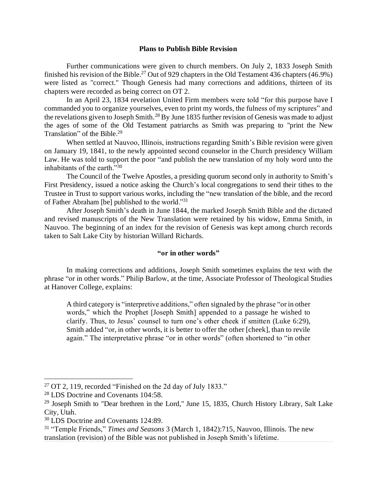### **Plans to Publish Bible Revision**

Further communications were given to church members. On July 2, 1833 Joseph Smith finished his revision of the Bible.<sup>27</sup> Out of 929 chapters in the Old Testament 436 chapters (46.9%) were listed as "correct." Though Genesis had many corrections and additions, thirteen of its chapters were recorded as being correct on OT 2.

In an April 23, 1834 revelation United Firm members were told "for this purpose have I commanded you to organize yourselves, even to print my words, the fulness of my scriptures" and the revelations given to Joseph Smith.<sup>28</sup> By June 1835 further revision of Genesis was made to adjust the ages of some of the Old Testament patriarchs as Smith was preparing to "print the New Translation" of the Bible.<sup>29</sup>

When settled at Nauvoo, Illinois, instructions regarding Smith's Bible revision were given on January 19, 1841, to the newly appointed second counselor in the Church presidency William Law. He was told to support the poor "and publish the new translation of my holy word unto the inhabitants of the earth."<sup>30</sup>

The Council of the Twelve Apostles, a presiding quorum second only in authority to Smith's First Presidency, issued a notice asking the Church's local congregations to send their tithes to the Trustee in Trust to support various works, including the "new translation of the bible, and the record of Father Abraham [be] published to the world."<sup>31</sup>

After Joseph Smith's death in June 1844, the marked Joseph Smith Bible and the dictated and revised manuscripts of the New Translation were retained by his widow, Emma Smith, in Nauvoo. The beginning of an index for the revision of Genesis was kept among church records taken to Salt Lake City by historian Willard Richards.

## **"or in other words"**

In making corrections and additions, Joseph Smith sometimes explains the text with the phrase "or in other words." Philip Barlow, at the time, Associate Professor of Theological Studies at Hanover College, explains:

A third category is "interpretive additions," often signaled by the phrase "or in other words," which the Prophet [Joseph Smith] appended to a passage he wished to clarify. Thus, to Jesus' counsel to turn one's other cheek if smitten (Luke 6:29), Smith added "or, in other words, it is better to offer the other [cheek], than to revile again." The interpretative phrase "or in other words" (often shortened to "in other

 $27$  OT 2, 119, recorded "Finished on the 2d day of July 1833."

<sup>28</sup> LDS Doctrine and Covenants 104:58.

<sup>&</sup>lt;sup>29</sup> Joseph Smith to "Dear brethren in the Lord," June 15, 1835, Church History Library, Salt Lake City, Utah.

<sup>30</sup> LDS Doctrine and Covenants 124:89.

<sup>31</sup> "Temple Friends," *Times and Seasons* 3 (March 1, 1842):715, Nauvoo, Illinois. The new translation (revision) of the Bible was not published in Joseph Smith's lifetime.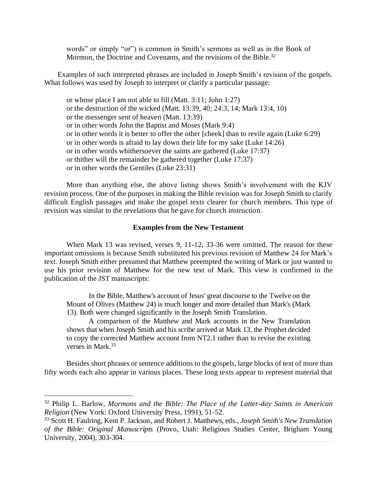words" or simply "or") is common in Smith's sermons as well as in the Book of Mormon, the Doctrine and Covenants, and the revisions of the Bible.<sup>32</sup>

Examples of such interpreted phrases are included in Joseph Smith's revision of the gospels. What follows was used by Joseph to interpret or clarify a particular passage:

or whose place I am not able to fill (Matt. 3:11; John 1:27) or the destruction of the wicked (Matt. 13:39, 40; 24:3, 14; Mark 13:4, 10) or the messenger sent of heaven (Matt. 13:39) or in other words John the Baptist and Moses (Mark 9:4) or in other words it is better to offer the other [cheek] than to revile again (Luke 6:29) or in other words is afraid to lay down their life for my sake (Luke 14:26) or in other words whithersoever the saints are gathered (Luke 17:37) or thither will the remainder be gathered together (Luke 17:37) or in other words the Gentiles (Luke 23:31)

More than anything else, the above listing shows Smith's involvement with the KJV revision process. One of the purposes in making the Bible revision was for Joseph Smith to clarify difficult English passages and make the gospel texts clearer for church members. This type of revision was similar to the revelations that he gave for church instruction.

### **Examples from the New Testament**

When Mark 13 was revised, verses 9, 11-12, 33-36 were omitted. The reason for these important omissions is because Smith substituted his previous revision of Matthew 24 for Mark's text. Joseph Smith either presumed that Matthew preempted the writing of Mark or just wanted to use his prior revision of Matthew for the new text of Mark. This view is confirmed in the publication of the JST manuscripts:

In the Bible, Matthew's account of Jesus' great discourse to the Twelve on the Mount of Olives (Matthew 24) is much longer and more detailed than Mark's (Mark 13). Both were changed significantly in the Joseph Smith Translation.

A comparison of the Matthew and Mark accounts in the New Translation shows that when Joseph Smith and his scribe arrived at Mark 13, the Prophet decided to copy the corrected Matthew account from NT2.1 rather than to revise the existing verses in Mark.<sup>33</sup>

Besides short phrases or sentence additions to the gospels, large blocks of text of more than fifty words each also appear in various places. These long texts appear to represent material that

<sup>32</sup> Philip L. Barlow, *Mormons and the Bible: The Place of the Latter-day Saints in American Religion* (New York: Oxford University Press, 1991), 51-52.

<sup>33</sup> Scott H. Faulring, Kent P. Jackson, and Robert J. Matthews, eds., *Joseph Smith's New Translation of the Bible: Original Manuscripts* (Provo, Utah: Religious Studies Center, Brigham Young University, 2004), 303-304.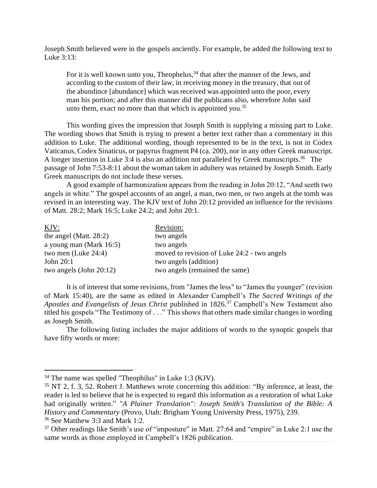Joseph Smith believed were in the gospels anciently. For example, he added the following text to Luke 3:13:

For it is well known unto you, Theophelus,<sup>34</sup> that after the manner of the Jews, and according to the custom of their law, in receiving money in the treasury, that out of the abundince [abundance] which was received was appointed unto the poor, every man his portion; and after this manner did the publicans also, wherefore John said unto them, exact no more than that which is appointed you.<sup>35</sup>

This wording gives the impression that Joseph Smith is supplying a missing part to Luke. The wording shows that Smith is trying to present a better text rather than a commentary in this addition to Luke. The additional wording, though represented to be in the text, is not in Codex Vaticanus, Codex Sinaticus, or papyrus fragment P4 (ca. 200), nor in any other Greek manuscript. A longer insertion in Luke 3:4 is also an addition not paralleled by Greek manuscripts.<sup>36</sup> The passage of John 7:53-8:11 about the woman taken in adultery was retained by Joseph Smith. Early Greek manuscripts do not include these verses.

A good example of harmonization appears from the reading in John 20:12, "And seeth two angels in white." The gospel accounts of an angel, a man, two men, or two angels at the tomb was revised in an interesting way. The KJV text of John 20:12 provided an influence for the revisions of Matt. 28:2; Mark 16:5; Luke 24:2; and John 20:1.

| Revision:                                   |
|---------------------------------------------|
| two angels                                  |
| two angels                                  |
| moved to revision of Luke 24:2 - two angels |
| two angels (addition)                       |
| two angels (remained the same)              |
|                                             |

It is of interest that some revisions, from "James the less" to "James the younger" (revision of Mark 15:40), are the same as edited in Alexander Campbell's *The Sacred Writings of the Apostles and Evangelists of Jesus Christ* published in 1826.<sup>37</sup> Campbell's New Testament also titled his gospels "The Testimony of . . ." This shows that others made similar changes in wording as Joseph Smith.

The following listing includes the major additions of words to the synoptic gospels that have fifty words or more:

<sup>34</sup> The name was spelled "Theophilus" in Luke 1:3 (KJV).

<sup>&</sup>lt;sup>35</sup> NT 2, f. 3, 52. Robert J. Matthews wrote concerning this addition: "By inference, at least, the reader is led to believe that he is expected to regard this information as a restoration of what Luke had originally written." *"A Plainer Translation": Joseph Smith's Translation of the Bible: A History and Commentary* (Provo, Utah: Brigham Young University Press, 1975), 239.

<sup>36</sup> See Matthew 3:3 and Mark 1:2.

<sup>&</sup>lt;sup>37</sup> Other readings like Smith's use of "imposture" in Matt. 27:64 and "empire" in Luke 2:1 use the same words as those employed in Campbell's 1826 publication.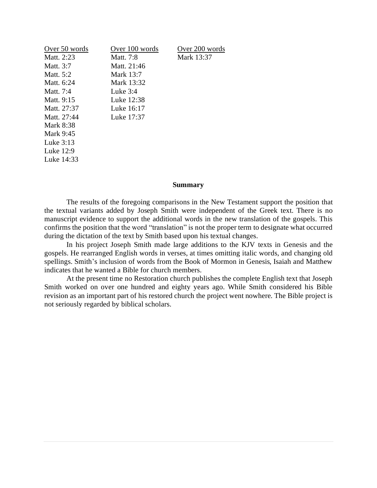| Over 50 words | Over 100 words | Over 200 words |
|---------------|----------------|----------------|
| Matt. 2:23    | Matt. 7:8      | Mark 13:37     |
| Matt. 3:7     | Matt. 21:46    |                |
| Matt. 5:2     | Mark 13:7      |                |
| Matt. 6:24    | Mark 13:32     |                |
| Matt. 7:4     | Luke $3:4$     |                |
| Matt. 9:15    | Luke 12:38     |                |
| Matt. 27:37   | Luke 16:17     |                |
| Matt. 27:44   | Luke 17:37     |                |
| Mark 8:38     |                |                |
| Mark 9:45     |                |                |
| Luke 3:13     |                |                |
| Luke 12:9     |                |                |
| Luke 14:33    |                |                |
|               |                |                |

### **Summary**

The results of the foregoing comparisons in the New Testament support the position that the textual variants added by Joseph Smith were independent of the Greek text. There is no manuscript evidence to support the additional words in the new translation of the gospels. This confirms the position that the word "translation" is not the proper term to designate what occurred during the dictation of the text by Smith based upon his textual changes.

In his project Joseph Smith made large additions to the KJV texts in Genesis and the gospels. He rearranged English words in verses, at times omitting italic words, and changing old spellings. Smith's inclusion of words from the Book of Mormon in Genesis, Isaiah and Matthew indicates that he wanted a Bible for church members.

At the present time no Restoration church publishes the complete English text that Joseph Smith worked on over one hundred and eighty years ago. While Smith considered his Bible revision as an important part of his restored church the project went nowhere. The Bible project is not seriously regarded by biblical scholars.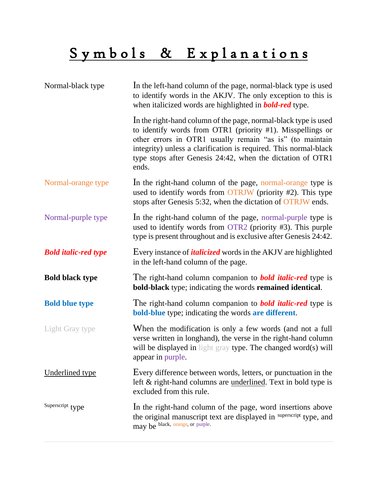# Symbols & Explanations

| Normal-black type           | In the left-hand column of the page, normal-black type is used<br>to identify words in the AKJV. The only exception to this is<br>when italicized words are highlighted in <b>bold-red</b> type.                                                                                                                                     |
|-----------------------------|--------------------------------------------------------------------------------------------------------------------------------------------------------------------------------------------------------------------------------------------------------------------------------------------------------------------------------------|
|                             | In the right-hand column of the page, normal-black type is used<br>to identify words from OTR1 (priority #1). Misspellings or<br>other errors in OTR1 usually remain "as is" (to maintain<br>integrity) unless a clarification is required. This normal-black<br>type stops after Genesis 24:42, when the dictation of OTR1<br>ends. |
| Normal-orange type          | In the right-hand column of the page, normal-orange type is<br>used to identify words from OTRJW (priority #2). This type<br>stops after Genesis 5:32, when the dictation of OTRJW ends.                                                                                                                                             |
| Normal-purple type          | In the right-hand column of the page, normal-purple type is<br>used to identify words from OTR2 (priority #3). This purple<br>type is present throughout and is exclusive after Genesis 24:42.                                                                                                                                       |
| <b>Bold italic-red type</b> | Every instance of <i>italicized</i> words in the AKJV are highlighted<br>in the left-hand column of the page.                                                                                                                                                                                                                        |
| <b>Bold black type</b>      | The right-hand column companion to <b>bold italic-red</b> type is<br><b>bold-black</b> type; indicating the words <b>remained identical</b> .                                                                                                                                                                                        |
| <b>Bold blue type</b>       | The right-hand column companion to <b>bold italic-red</b> type is<br><b>bold-blue</b> type; indicating the words are different.                                                                                                                                                                                                      |
| Light Gray type             | When the modification is only a few words (and not a full<br>verse written in longhand), the verse in the right-hand column<br>will be displayed in light gray type. The changed word(s) will<br>appear in purple.                                                                                                                   |
| <b>Underlined type</b>      | Every difference between words, letters, or punctuation in the<br>left & right-hand columns are <u>underlined</u> . Text in bold type is<br>excluded from this rule.                                                                                                                                                                 |
| Superscript type            | In the right-hand column of the page, word insertions above<br>the original manuscript text are displayed in superscript type, and<br>may be black, orange, or purple.                                                                                                                                                               |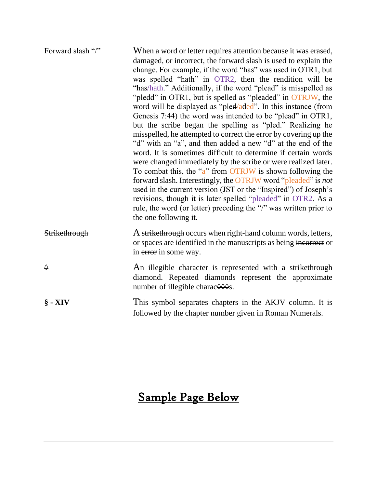| Forward slash "/" | When a word or letter requires attention because it was erased,<br>damaged, or incorrect, the forward slash is used to explain the<br>change. For example, if the word "has" was used in OTR1, but<br>was spelled "hath" in OTR2, then the rendition will be<br>"has/hath." Additionally, if the word "plead" is misspelled as<br>"pledd" in OTR1, but is spelled as "pleaded" in OTRJW, the<br>word will be displayed as "pled/aded". In this instance (from<br>Genesis 7:44) the word was intended to be "plead" in OTR1,<br>but the scribe began the spelling as "pled." Realizing he<br>misspelled, he attempted to correct the error by covering up the<br>"d" with an "a", and then added a new "d" at the end of the<br>word. It is sometimes difficult to determine if certain words<br>were changed immediately by the scribe or were realized later.<br>To combat this, the "a" from OTRJW is shown following the<br>forward slash. Interestingly, the OTRJW word "pleaded" is not<br>used in the current version (JST or the "Inspired") of Joseph's<br>revisions, though it is later spelled "pleaded" in OTR2. As a<br>rule, the word (or letter) preceding the "/" was written prior to<br>the one following it. |
|-------------------|--------------------------------------------------------------------------------------------------------------------------------------------------------------------------------------------------------------------------------------------------------------------------------------------------------------------------------------------------------------------------------------------------------------------------------------------------------------------------------------------------------------------------------------------------------------------------------------------------------------------------------------------------------------------------------------------------------------------------------------------------------------------------------------------------------------------------------------------------------------------------------------------------------------------------------------------------------------------------------------------------------------------------------------------------------------------------------------------------------------------------------------------------------------------------------------------------------------------------------|
| Strikethrough     | A strikethrough occurs when right-hand column words, letters,<br>or spaces are identified in the manuscripts as being incorrect or<br>in error in some way.                                                                                                                                                                                                                                                                                                                                                                                                                                                                                                                                                                                                                                                                                                                                                                                                                                                                                                                                                                                                                                                                    |
| $\Diamond$        | An illegible character is represented with a strikethrough<br>diamond. Repeated diamonds represent the approximate<br>number of illegible charac $\Diamond \Diamond \Diamond s$ .                                                                                                                                                                                                                                                                                                                                                                                                                                                                                                                                                                                                                                                                                                                                                                                                                                                                                                                                                                                                                                              |
| $\S$ - XIV        | This symbol separates chapters in the AKJV column. It is<br>followed by the chapter number given in Roman Numerals.                                                                                                                                                                                                                                                                                                                                                                                                                                                                                                                                                                                                                                                                                                                                                                                                                                                                                                                                                                                                                                                                                                            |

# Sample Page Below